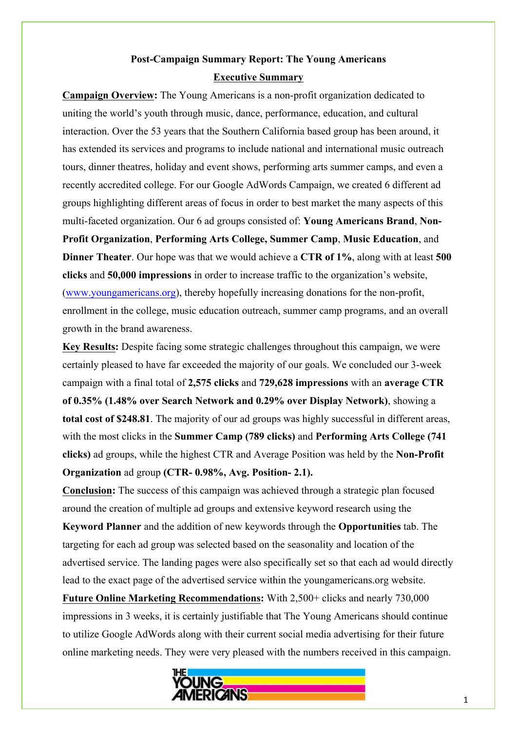# **Post-Campaign Summary Report: The Young Americans Executive Summary**

**Campaign Overview:** The Young Americans is a non-profit organization dedicated to uniting the world's youth through music, dance, performance, education, and cultural interaction. Over the 53 years that the Southern California based group has been around, it has extended its services and programs to include national and international music outreach tours, dinner theatres, holiday and event shows, performing arts summer camps, and even a recently accredited college. For our Google AdWords Campaign, we created 6 different ad groups highlighting different areas of focus in order to best market the many aspects of this multi-faceted organization. Our 6 ad groups consisted of: **Young Americans Brand**, **Non-Profit Organization**, **Performing Arts College, Summer Camp**, **Music Education**, and **Dinner Theater**. Our hope was that we would achieve a **CTR of 1%**, along with at least **500 clicks** and **50,000 impressions** in order to increase traffic to the organization's website, (www.youngamericans.org), thereby hopefully increasing donations for the non-profit, enrollment in the college, music education outreach, summer camp programs, and an overall growth in the brand awareness.

**Key Results:** Despite facing some strategic challenges throughout this campaign, we were certainly pleased to have far exceeded the majority of our goals. We concluded our 3-week campaign with a final total of **2,575 clicks** and **729,628 impressions** with an **average CTR of 0.35% (1.48% over Search Network and 0.29% over Display Network)**, showing a **total cost of \$248.81**. The majority of our ad groups was highly successful in different areas, with the most clicks in the **Summer Camp (789 clicks)** and **Performing Arts College (741 clicks)** ad groups, while the highest CTR and Average Position was held by the **Non-Profit Organization** ad group **(CTR- 0.98%, Avg. Position- 2.1).**

**Conclusion:** The success of this campaign was achieved through a strategic plan focused around the creation of multiple ad groups and extensive keyword research using the **Keyword Planner** and the addition of new keywords through the **Opportunities** tab. The

targeting for each ad group was selected based on the seasonality and location of the advertised service. The landing pages were also specifically set so that each ad would directly lead to the exact page of the advertised service within the youngamericans.org website.

**Future Online Marketing Recommendations:** With 2,500+ clicks and nearly 730,000 impressions in 3 weeks, it is certainly justifiable that The Young Americans should continue to utilize Google AdWords along with their current social media advertising for their future online marketing needs. They were very pleased with the numbers received in this campaign.

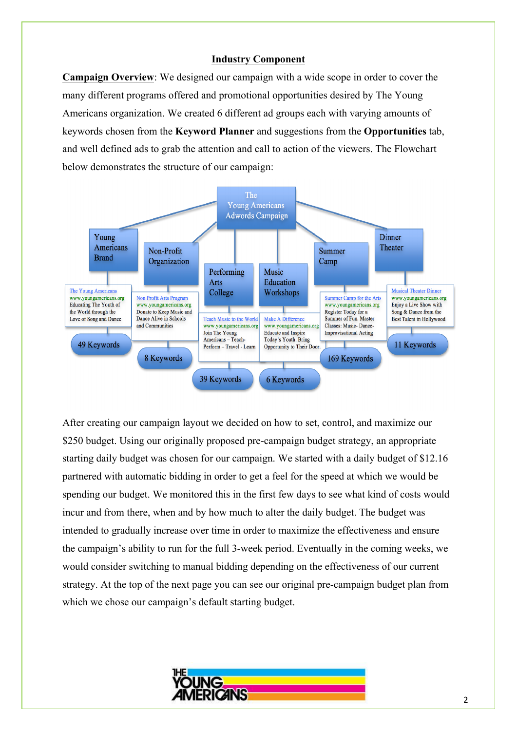## **Industry Component**

**Campaign Overview**: We designed our campaign with a wide scope in order to cover the many different programs offered and promotional opportunities desired by The Young Americans organization. We created 6 different ad groups each with varying amounts of keywords chosen from the **Keyword Planner** and suggestions from the **Opportunities** tab, and well defined ads to grab the attention and call to action of the viewers. The Flowchart below demonstrates the structure of our campaign:



After creating our campaign layout we decided on how to set, control, and maximize our \$250 budget. Using our originally proposed pre-campaign budget strategy, an appropriate starting daily budget was chosen for our campaign. We started with a daily budget of \$12.16 partnered with automatic bidding in order to get a feel for the speed at which we would be spending our budget. We monitored this in the first few days to see what kind of costs would incur and from there, when and by how much to alter the daily budget. The budget was intended to gradually increase over time in order to maximize the effectiveness and ensure the campaign's ability to run for the full 3-week period. Eventually in the coming weeks, we would consider switching to manual bidding depending on the effectiveness of our current strategy. At the top of the next page you can see our original pre-campaign budget plan from which we chose our campaign's default starting budget.

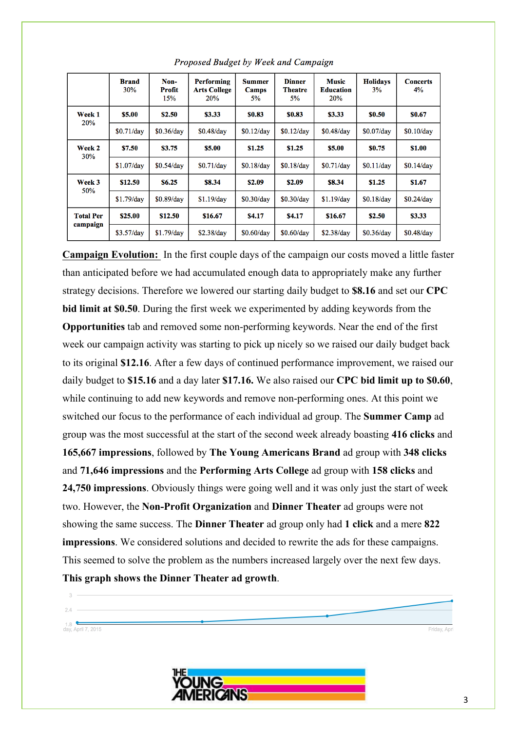|                              | <b>Brand</b><br>30% | Non-<br>Profit<br>15% | <b>Performing</b><br><b>Arts College</b><br>20% | <b>Summer</b><br>Camps<br>5% | <b>Dinner</b><br>Theatre<br>5% | <b>Music</b><br><b>Education</b><br>20% | <b>Holidays</b><br>3% | <b>Concerts</b><br>4% |
|------------------------------|---------------------|-----------------------|-------------------------------------------------|------------------------------|--------------------------------|-----------------------------------------|-----------------------|-----------------------|
| Week 1<br><b>20%</b>         | \$5.00              | \$2.50                | \$3.33                                          | \$0.83                       | \$0.83                         | \$3.33                                  | \$0.50                | \$0.67                |
|                              | \$0.71/day          | \$0.36/day            | $$0.48$ /day                                    | \$0.12/day                   | \$0.12/day                     | \$0.48/day                              | $$0.07$ /day          | \$0.10/day            |
| Week 2<br><b>30%</b>         | \$7.50              | \$3.75                | \$5.00                                          | \$1.25                       | \$1.25                         | \$5.00                                  | <b>SO.75</b>          | \$1.00                |
|                              | $$1.07$ /day        | \$0.54/day            | \$0.71/dav                                      | \$0.18/day                   | \$0.18/day                     | \$0.71/day                              | \$0.11/day            | \$0.14/day            |
| Week 3<br><b>50%</b>         | \$12.50             | \$6.25                | \$8.34                                          | \$2.09                       | \$2.09                         | \$8.34                                  | \$1.25                | \$1.67                |
|                              | $$1.79$ /day        | $$0.89$ /day          | $$1.19$ /dav                                    | \$0.30/day                   | \$0.30/day                     | \$1.19/day                              | $$0.18$ /dav          | \$0.24/day            |
| <b>Total Per</b><br>campaign | \$25.00             | \$12.50               | \$16.67                                         | <b>\$4.17</b>                | \$4.17                         | \$16.67                                 | \$2.50                | \$3.33                |
|                              | \$3.57/day          | \$1.79/day            | \$2.38/day                                      | \$0.60/day                   | \$0.60/day                     | \$2.38/day                              | \$0.36/day            | \$0.48/day            |

Proposed Budget by Week and Campaign

**Campaign Evolution:** In the first couple days of the campaign our costs moved a little faster than anticipated before we had accumulated enough data to appropriately make any further strategy decisions. Therefore we lowered our starting daily budget to **\$8.16** and set our **CPC bid limit at \$0.50**. During the first week we experimented by adding keywords from the **Opportunities** tab and removed some non-performing keywords. Near the end of the first week our campaign activity was starting to pick up nicely so we raised our daily budget back to its original **\$12.16**. After a few days of continued performance improvement, we raised our daily budget to **\$15.16** and a day later **\$17.16.** We also raised our **CPC bid limit up to \$0.60**, while continuing to add new keywords and remove non-performing ones. At this point we switched our focus to the performance of each individual ad group. The **Summer Camp** ad group was the most successful at the start of the second week already boasting **416 clicks** and **165,667 impressions**, followed by **The Young Americans Brand** ad group with **348 clicks** and **71,646 impressions** and the **Performing Arts College** ad group with **158 clicks** and **24,750 impressions**. Obviously things were going well and it was only just the start of week two. However, the **Non-Profit Organization** and **Dinner Theater** ad groups were not showing the same success. The **Dinner Theater** ad group only had **1 click** and a mere **822 impressions**. We considered solutions and decided to rewrite the ads for these campaigns. This seemed to solve the problem as the numbers increased largely over the next few days. **This graph shows the Dinner Theater ad growth**.

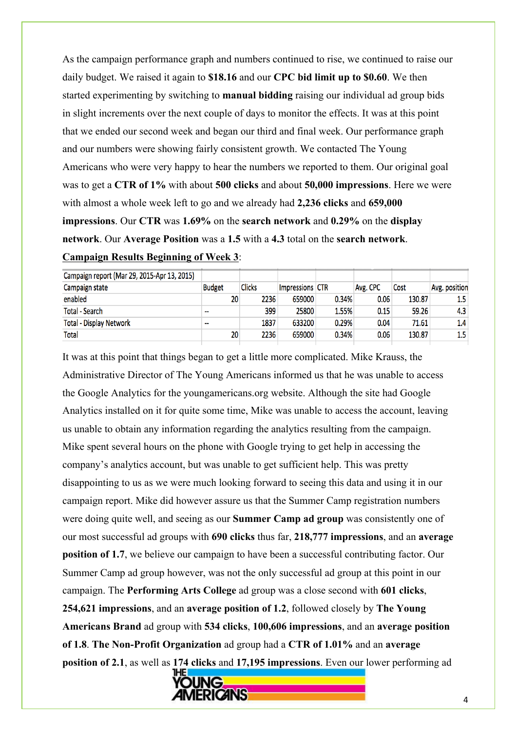As the campaign performance graph and numbers continued to rise, we continued to raise our daily budget. We raised it again to **\$18.16** and our **CPC bid limit up to \$0.60**. We then started experimenting by switching to **manual bidding** raising our individual ad group bids in slight increments over the next couple of days to monitor the effects. It was at this point that we ended our second week and began our third and final week. Our performance graph and our numbers were showing fairly consistent growth. We contacted The Young Americans who were very happy to hear the numbers we reported to them. Our original goal was to get a **CTR of 1%** with about **500 clicks** and about **50,000 impressions**. Here we were with almost a whole week left to go and we already had **2,236 clicks** and **659,000 impressions**. Our **CTR** was **1.69%** on the **search network** and **0.29%** on the **display network**. Our **Average Position** was a **1.5** with a **4.3** total on the **search network**.

|  | <b>Campaign Results Beginning of Week 3:</b> |  |  |
|--|----------------------------------------------|--|--|
|  |                                              |  |  |

|                                   |       |                 |               |               | Campaign report (Mar 29, 2015-Apr 13, 2015) |  |
|-----------------------------------|-------|-----------------|---------------|---------------|---------------------------------------------|--|
| Avg. position<br>Avg. CPC<br>Cost |       | Impressions CTR | <b>Clicks</b> | <b>Budget</b> | Campaign state                              |  |
| 0.06<br>130.87<br>1.5             | 0.34% | 659000          | 2236          | 20            | enabled                                     |  |
| 59.26<br>4.3<br>0.15              | 1.55% | 25800           | 399           | --            | <b>Total - Search</b>                       |  |
| 0.04<br>71.61<br>1.4              | 0.29% | 633200          | 1837          | --            | <b>Total - Display Network</b>              |  |
| 1.5<br>0.06<br>130.87             | 0.34% | 659000          | 2236          | 20            | <b>Total</b>                                |  |
|                                   |       |                 |               |               |                                             |  |

It was at this point that things began to get a little more complicated. Mike Krauss, the Administrative Director of The Young Americans informed us that he was unable to access the Google Analytics for the youngamericans.org website. Although the site had Google Analytics installed on it for quite some time, Mike was unable to access the account, leaving us unable to obtain any information regarding the analytics resulting from the campaign. Mike spent several hours on the phone with Google trying to get help in accessing the company's analytics account, but was unable to get sufficient help. This was pretty disappointing to us as we were much looking forward to seeing this data and using it in our campaign report. Mike did however assure us that the Summer Camp registration numbers were doing quite well, and seeing as our **Summer Camp ad group** was consistently one of our most successful ad groups with **690 clicks** thus far, **218,777 impressions**, and an **average position of 1.7**, we believe our campaign to have been a successful contributing factor. Our Summer Camp ad group however, was not the only successful ad group at this point in our campaign. The **Performing Arts College** ad group was a close second with **601 clicks**, **254,621 impressions**, and an **average position of 1.2**, followed closely by **The Young Americans Brand** ad group with **534 clicks**, **100,606 impressions**, and an **average position of 1.8**. **The Non-Profit Organization** ad group had a **CTR of 1.01%** and an **average position of 2.1**, as well as **174 clicks** and **17,195 impressions**. Even our lower performing ad

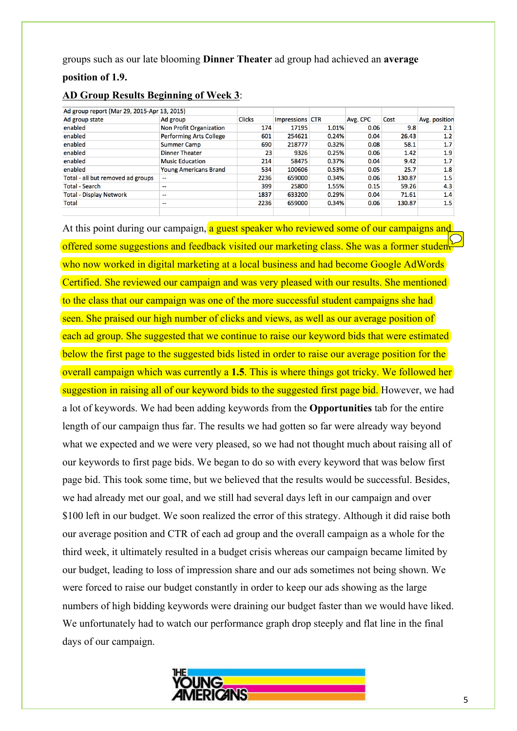groups such as our late blooming **Dinner Theater** ad group had achieved an **average** 

#### **position of 1.9.**

| Ad group report (Mar 29, 2015-Apr 13, 2015) |                                |               |                 |       |          |        |               |
|---------------------------------------------|--------------------------------|---------------|-----------------|-------|----------|--------|---------------|
| Ad group state                              | Ad group                       | <b>Clicks</b> | Impressions CTR |       | Avg. CPC | Cost   | Avg. position |
| enabled                                     | Non Profit Organization        | 174           | 17195           | 1.01% | 0.06     | 9.8    | 2.1           |
| enabled                                     | <b>Performing Arts College</b> | 601           | 254621          | 0.24% | 0.04     | 26.43  | 1.2           |
| enabled                                     | <b>Summer Camp</b>             | 690           | 218777          | 0.32% | 0.08     | 58.1   | 1.7           |
| enabled                                     | <b>Dinner Theater</b>          | 23            | 9326            | 0.25% | 0.06     | 1.42   | 1.9           |
| enabled                                     | <b>Music Education</b>         | 214           | 58475           | 0.37% | 0.04     | 9.42   | 1.7           |
| enabled                                     | <b>Young Americans Brand</b>   | 534           | 100606          | 0.53% | 0.05     | 25.7   | 1.8           |
| Total - all but removed ad groups           | --                             | 2236          | 659000          | 0.34% | 0.06     | 130.87 | 1.5           |
| <b>Total - Search</b>                       | --                             | 399           | 25800           | 1.55% | 0.15     | 59.26  | 4.3           |
| <b>Total - Display Network</b>              | --                             | 1837          | 633200          | 0.29% | 0.04     | 71.61  | 1.4           |
| Total                                       | --                             | 2236          | 659000          | 0.34% | 0.06     | 130.87 | 1.5           |
|                                             |                                |               |                 |       |          |        |               |

#### **AD Group Results Beginning of Week 3**:

At this point during our campaign, a guest speaker who reviewed some of our campaigns and offered some suggestions and feedback visited our marketing class. She was a former studen who now worked in digital marketing at a local business and had become Google AdWords Certified. She reviewed our campaign and was very pleased with our results. She mentioned to the class that our campaign was one of the more successful student campaigns she had seen. She praised our high number of clicks and views, as well as our average position of each ad group. She suggested that we continue to raise our keyword bids that were estimated below the first page to the suggested bids listed in order to raise our average position for the overall campaign which was currently a **1.5**. This is where things got tricky. We followed her suggestion in raising all of our keyword bids to the suggested first page bid. However, we had a lot of keywords. We had been adding keywords from the **Opportunities** tab for the entire length of our campaign thus far. The results we had gotten so far were already way beyond what we expected and we were very pleased, so we had not thought much about raising all of our keywords to first page bids. We began to do so with every keyword that was below first page bid. This took some time, but we believed that the results would be successful. Besides, we had already met our goal, and we still had several days left in our campaign and over \$100 left in our budget. We soon realized the error of this strategy. Although it did raise both our average position and CTR of each ad group and the overall campaign as a whole for the third week, it ultimately resulted in a budget crisis whereas our campaign became limited by our budget, leading to loss of impression share and our ads sometimes not being shown. We were forced to raise our budget constantly in order to keep our ads showing as the large numbers of high bidding keywords were draining our budget faster than we would have liked. We unfortunately had to watch our performance graph drop steeply and flat line in the final days of our campaign.

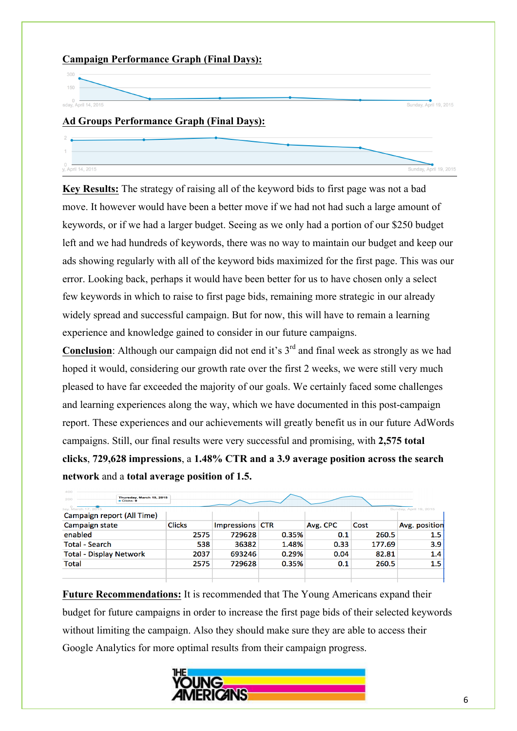# **Campaign Performance Graph (Final Days):**  $150$ 0<br>sday, April 14, 2015 Sunday, April 19, 2015 **Ad Groups Performance Graph (Final Days):** 0<br>y, April 14, 2015 Sunday, April 19, 2015

**Key Results:** The strategy of raising all of the keyword bids to first page was not a bad move. It however would have been a better move if we had not had such a large amount of keywords, or if we had a larger budget. Seeing as we only had a portion of our \$250 budget left and we had hundreds of keywords, there was no way to maintain our budget and keep our ads showing regularly with all of the keyword bids maximized for the first page. This was our error. Looking back, perhaps it would have been better for us to have chosen only a select few keywords in which to raise to first page bids, remaining more strategic in our already widely spread and successful campaign. But for now, this will have to remain a learning experience and knowledge gained to consider in our future campaigns.

**Conclusion**: Although our campaign did not end it's 3<sup>rd</sup> and final week as strongly as we had hoped it would, considering our growth rate over the first 2 weeks, we were still very much pleased to have far exceeded the majority of our goals. We certainly faced some challenges and learning experiences along the way, which we have documented in this post-campaign report. These experiences and our achievements will greatly benefit us in our future AdWords campaigns. Still, our final results were very successful and promising, with **2,575 total clicks**, **729,628 impressions**, a **1.48% CTR and a 3.9 average position across the search network** and a **total average position of 1.5.**

| 400                            |                                             |               |                 |       |          |        |                        |  |
|--------------------------------|---------------------------------------------|---------------|-----------------|-------|----------|--------|------------------------|--|
| 200                            | Thursday, March 19, 2015<br>$=$ Clicks: $0$ |               |                 |       |          |        |                        |  |
| day, March 17, 2015            |                                             |               |                 |       |          |        | Sunday, April 19, 2015 |  |
|                                | Campaign report (All Time)                  |               |                 |       |          |        |                        |  |
| Campaign state                 |                                             | <b>Clicks</b> | Impressions CTR |       | Avg. CPC | Cost   | Avg. position          |  |
| enabled                        |                                             | 2575          | 729628          | 0.35% | 0.1      | 260.5  | 1.5                    |  |
| <b>Total - Search</b>          |                                             | 538           | 36382           | 1.48% | 0.33     | 177.69 | 3.9                    |  |
| <b>Total - Display Network</b> |                                             | 2037          | 693246          | 0.29% | 0.04     | 82.81  | 1.4                    |  |
| Total                          |                                             | 2575          | 729628          | 0.35% | 0.1      | 260.5  | 1.5                    |  |
|                                |                                             |               |                 |       |          |        |                        |  |
|                                |                                             |               |                 |       |          |        |                        |  |

**Future Recommendations:** It is recommended that The Young Americans expand their budget for future campaigns in order to increase the first page bids of their selected keywords without limiting the campaign. Also they should make sure they are able to access their Google Analytics for more optimal results from their campaign progress.

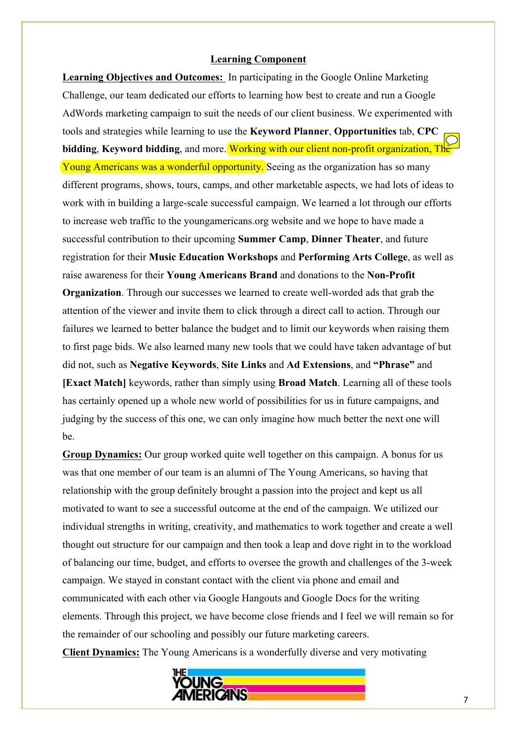### **Learning Component**

**Learning Objectives and Outcomes:** In participating in the Google Online Marketing Challenge, our team dedicated our efforts to learning how best to create and run a Google AdWords marketing campaign to suit the needs of our client business. We experimented with tools and strategies while learning to use the **Keyword Planner**, **Opportunities** tab, **CPC bidding**, **Keyword bidding**, and more. Working with our client non-profit organization, The Young Americans was a wonderful opportunity. Seeing as the organization has so many different programs, shows, tours, camps, and other marketable aspects, we had lots of ideas to work with in building a large-scale successful campaign. We learned a lot through our efforts to increase web traffic to the youngamericans.org website and we hope to have made a successful contribution to their upcoming **Summer Camp**, **Dinner Theater**, and future registration for their **Music Education Workshops** and **Performing Arts College**, as well as raise awareness for their **Young Americans Brand** and donations to the **Non-Profit Organization**. Through our successes we learned to create well-worded ads that grab the attention of the viewer and invite them to click through a direct call to action. Through our failures we learned to better balance the budget and to limit our keywords when raising them to first page bids. We also learned many new tools that we could have taken advantage of but did not, such as **Negative Keywords**, **Site Links** and **Ad Extensions**, and **"Phrase"** and **[Exact Match]** keywords, rather than simply using **Broad Match**. Learning all of these tools has certainly opened up a whole new world of possibilities for us in future campaigns, and judging by the success of this one, we can only imagine how much better the next one will be.

**Group Dynamics:** Our group worked quite well together on this campaign. A bonus for us was that one member of our team is an alumni of The Young Americans, so having that relationship with the group definitely brought a passion into the project and kept us all motivated to want to see a successful outcome at the end of the campaign. We utilized our individual strengths in writing, creativity, and mathematics to work together and create a well thought out structure for our campaign and then took a leap and dove right in to the workload of balancing our time, budget, and efforts to oversee the growth and challenges of the 3-week campaign. We stayed in constant contact with the client via phone and email and communicated with each other via Google Hangouts and Google Docs for the writing elements. Through this project, we have become close friends and I feel we will remain so for the remainder of our schooling and possibly our future marketing careers. **Client Dynamics:** The Young Americans is a wonderfully diverse and very motivating

**ERIGANS**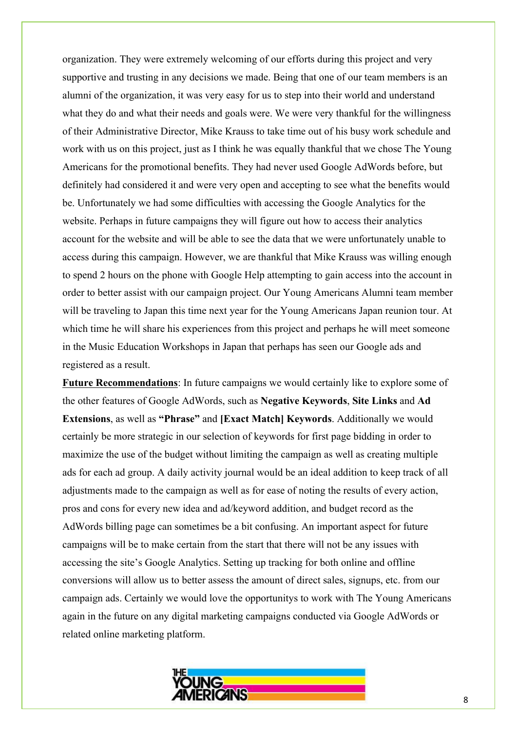organization. They were extremely welcoming of our efforts during this project and very supportive and trusting in any decisions we made. Being that one of our team members is an alumni of the organization, it was very easy for us to step into their world and understand what they do and what their needs and goals were. We were very thankful for the willingness of their Administrative Director, Mike Krauss to take time out of his busy work schedule and work with us on this project, just as I think he was equally thankful that we chose The Young Americans for the promotional benefits. They had never used Google AdWords before, but definitely had considered it and were very open and accepting to see what the benefits would be. Unfortunately we had some difficulties with accessing the Google Analytics for the website. Perhaps in future campaigns they will figure out how to access their analytics account for the website and will be able to see the data that we were unfortunately unable to access during this campaign. However, we are thankful that Mike Krauss was willing enough to spend 2 hours on the phone with Google Help attempting to gain access into the account in order to better assist with our campaign project. Our Young Americans Alumni team member will be traveling to Japan this time next year for the Young Americans Japan reunion tour. At which time he will share his experiences from this project and perhaps he will meet someone in the Music Education Workshops in Japan that perhaps has seen our Google ads and registered as a result.

**Future Recommendations**: In future campaigns we would certainly like to explore some of the other features of Google AdWords, such as **Negative Keywords**, **Site Links** and **Ad Extensions**, as well as **"Phrase"** and **[Exact Match] Keywords**. Additionally we would certainly be more strategic in our selection of keywords for first page bidding in order to maximize the use of the budget without limiting the campaign as well as creating multiple ads for each ad group. A daily activity journal would be an ideal addition to keep track of all adjustments made to the campaign as well as for ease of noting the results of every action, pros and cons for every new idea and ad/keyword addition, and budget record as the AdWords billing page can sometimes be a bit confusing. An important aspect for future campaigns will be to make certain from the start that there will not be any issues with accessing the site's Google Analytics. Setting up tracking for both online and offline conversions will allow us to better assess the amount of direct sales, signups, etc. from our campaign ads. Certainly we would love the opportunitys to work with The Young Americans again in the future on any digital marketing campaigns conducted via Google AdWords or related online marketing platform.

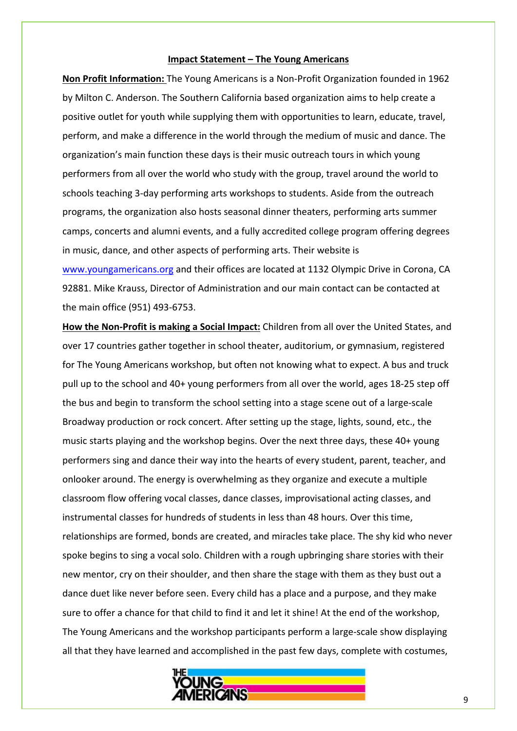#### **Impact Statement – The Young Americans**

**Non Profit Information:** The Young Americans is a Non-Profit Organization founded in 1962 by Milton C. Anderson. The Southern California based organization aims to help create a positive outlet for youth while supplying them with opportunities to learn, educate, travel, perform, and make a difference in the world through the medium of music and dance. The organization's main function these days is their music outreach tours in which young performers from all over the world who study with the group, travel around the world to schools teaching 3-day performing arts workshops to students. Aside from the outreach programs, the organization also hosts seasonal dinner theaters, performing arts summer camps, concerts and alumni events, and a fully accredited college program offering degrees in music, dance, and other aspects of performing arts. Their website is www.youngamericans.org and their offices are located at 1132 Olympic Drive in Corona, CA

92881. Mike Krauss, Director of Administration and our main contact can be contacted at the main office (951) 493-6753.

How the Non-Profit is making a Social Impact: Children from all over the United States, and over 17 countries gather together in school theater, auditorium, or gymnasium, registered for The Young Americans workshop, but often not knowing what to expect. A bus and truck pull up to the school and 40+ young performers from all over the world, ages 18-25 step off the bus and begin to transform the school setting into a stage scene out of a large-scale Broadway production or rock concert. After setting up the stage, lights, sound, etc., the music starts playing and the workshop begins. Over the next three days, these 40+ young performers sing and dance their way into the hearts of every student, parent, teacher, and onlooker around. The energy is overwhelming as they organize and execute a multiple classroom flow offering vocal classes, dance classes, improvisational acting classes, and instrumental classes for hundreds of students in less than 48 hours. Over this time, relationships are formed, bonds are created, and miracles take place. The shy kid who never spoke begins to sing a vocal solo. Children with a rough upbringing share stories with their new mentor, cry on their shoulder, and then share the stage with them as they bust out a dance duet like never before seen. Every child has a place and a purpose, and they make sure to offer a chance for that child to find it and let it shine! At the end of the workshop, The Young Americans and the workshop participants perform a large-scale show displaying all that they have learned and accomplished in the past few days, complete with costumes,